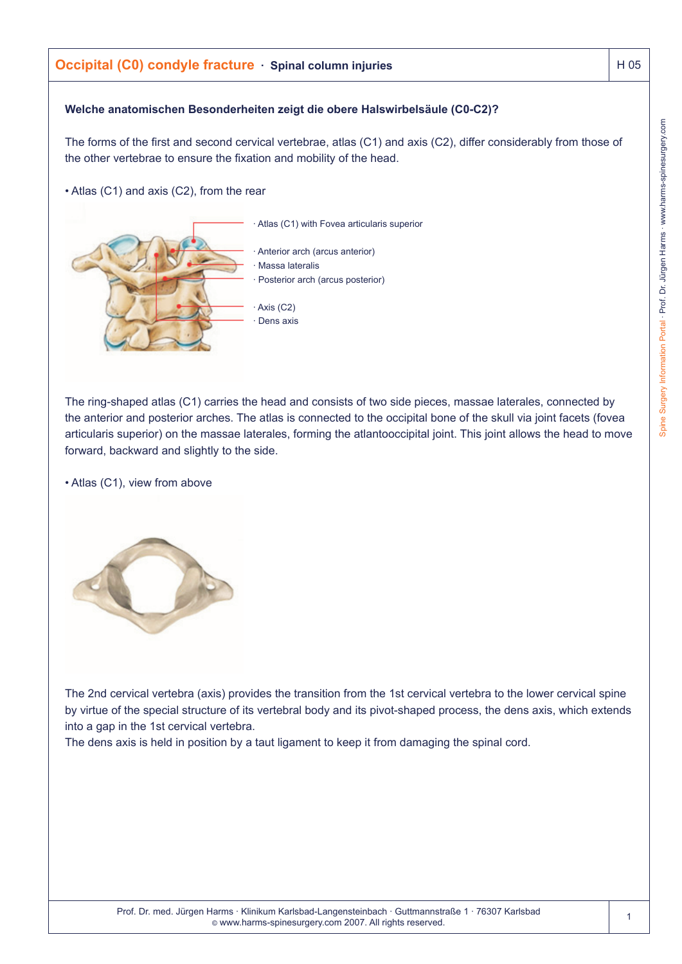# **Occipital (C0) condyle fracture** · Spinal column injuries **H** 105

### **Welche anatomischen Besonderheiten zeigt die obere Halswirbelsäule (C0-C2)?**

The forms of the first and second cervical vertebrae, atlas (C1) and axis (C2), differ considerably from those of the other vertebrae to ensure the fixation and mobility of the head.

Atlas (C1) with Fovea articularis superior

• Atlas (C1) and axis (C2), from the rear

Anterior arch (arcus anterior) **Massa lateralis** Posterior arch (arcus posterior)

Axis (C2) Dens axis

The ring-shaped atlas (C1) carries the head and consists of two side pieces, massae laterales, connected by the anterior and posterior arches. The atlas is connected to the occipital bone of the skull via joint facets (fovea articularis superior) on the massae laterales, forming the atlantooccipital joint. This joint allows the head to move forward, backward and slightly to the side.

• Atlas (C1), view from above

The 2nd cervical vertebra (axis) provides the transition from the 1st cervical vertebra to the lower cervical spine by virtue of the special structure of its vertebral body and its pivot-shaped process, the dens axis, which extends into a gap in the 1st cervical vertebra.

The dens axis is held in position by a taut ligament to keep it from damaging the spinal cord.

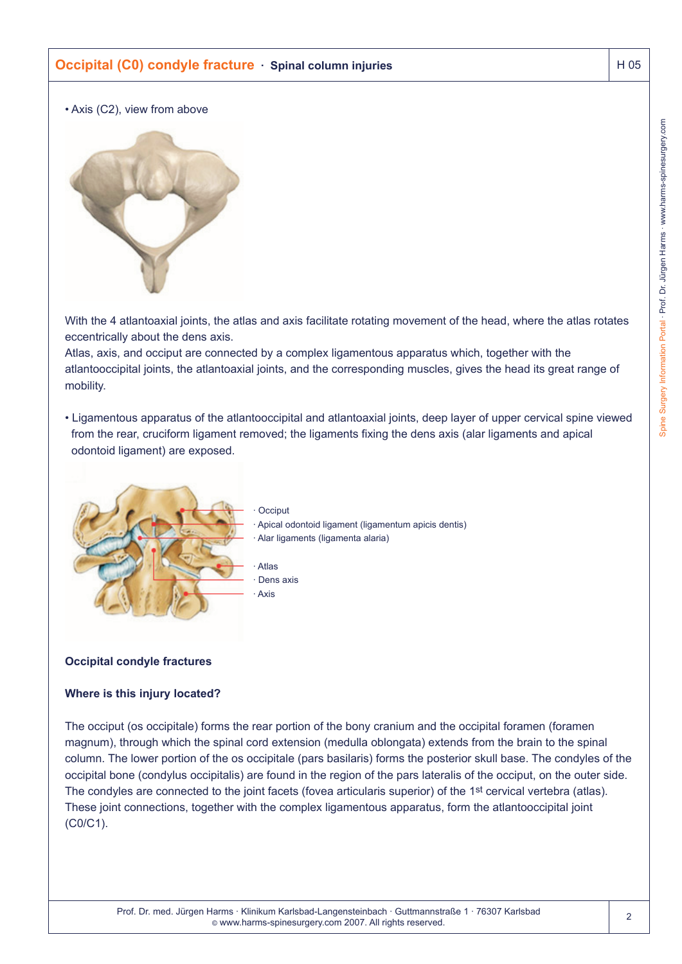# **Occipital (C0) condyle fracture · Spinal column injuries | H 05 | H 05**

• Axis (C2), view from above



With the 4 atlantoaxial joints, the atlas and axis facilitate rotating movement of the head, where the atlas rotates eccentrically about the dens axis.

Atlas, axis, and occiput are connected by a complex ligamentous apparatus which, together with the atlantooccipital joints, the atlantoaxial joints, and the corresponding muscles, gives the head its great range of mobility.

• Ligamentous apparatus of the atlantooccipital and atlantoaxial joints, deep layer of upper cervical spine viewed from the rear, cruciform ligament removed; the ligaments fixing the dens axis (alar ligaments and apical odontoid ligament) are exposed.



· Occiput Apical odontoid ligament (ligamentum apicis dentis) Alar ligaments (ligamenta alaria)

**Atlas** · Dens axis **Axis** 

## **Occipital condyle fractures**

#### **Where is this injury located?**

The occiput (os occipitale) forms the rear portion of the bony cranium and the occipital foramen (foramen magnum), through which the spinal cord extension (medulla oblongata) extends from the brain to the spinal column. The lower portion of the os occipitale (pars basilaris) forms the posterior skull base. The condyles of the occipital bone (condylus occipitalis) are found in the region of the pars lateralis of the occiput, on the outer side. The condyles are connected to the joint facets (fovea articularis superior) of the 1<sup>st</sup> cervical vertebra (atlas). These joint connections, together with the complex ligamentous apparatus, form the atlantooccipital joint (C0/C1).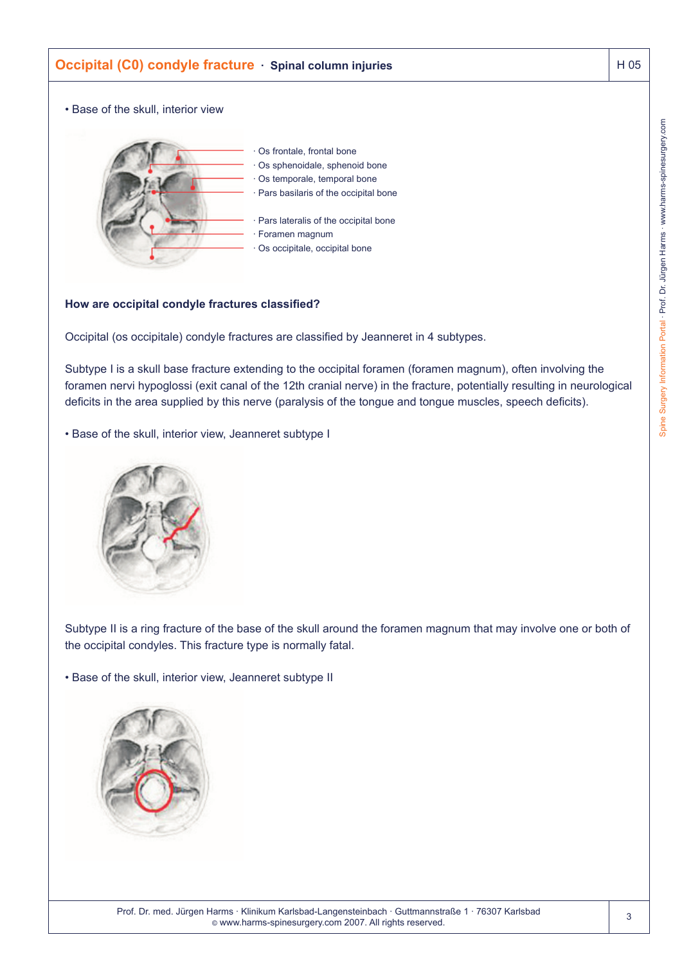

### **How are occipital condyle fractures classified?**

Occipital (os occipitale) condyle fractures are classified by Jeanneret in 4 subtypes.

Subtype I is a skull base fracture extending to the occipital foramen (foramen magnum), often involving the foramen nervi hypoglossi (exit canal of the 12th cranial nerve) in the fracture, potentially resulting in neurological deficits in the area supplied by this nerve (paralysis of the tongue and tongue muscles, speech deficits).

• Base of the skull, interior view, Jeanneret subtype I



Subtype II is a ring fracture of the base of the skull around the foramen magnum that may involve one or both of the occipital condyles. This fracture type is normally fatal.

• Base of the skull, interior view, Jeanneret subtype II

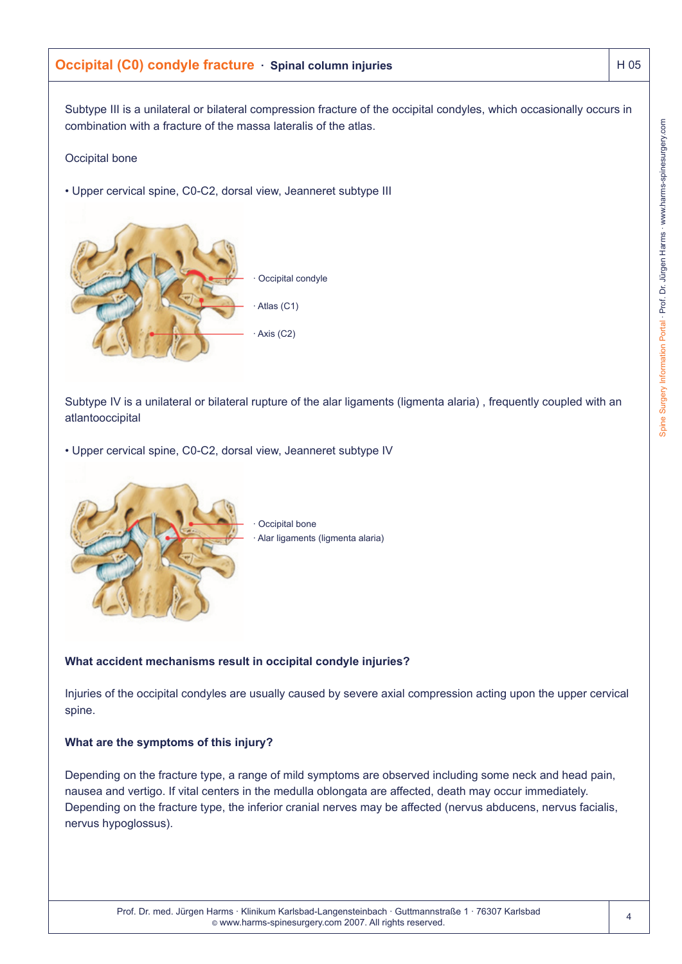# **Occipital (C0) condyle fracture** · Spinal column injuries **H** 105

Subtype III is a unilateral or bilateral compression fracture of the occipital condyles, which occasionally occurs in combination with a fracture of the massa lateralis of the atlas.

## Occipital bone

• Upper cervical spine, C0-C2, dorsal view, Jeanneret subtype III

Subtype IV is a unilateral or bilateral rupture of the alar ligaments (ligmenta alaria) , frequently coupled with an atlantooccipital

Alar ligaments (ligmenta alaria)

Occipital condyle

Atlas (C1)

Axis (C2)

Occipital bone

• Upper cervical spine, C0-C2, dorsal view, Jeanneret subtype IV



# **What accident mechanisms result in occipital condyle injuries?**

Injuries of the occipital condyles are usually caused by severe axial compression acting upon the upper cervical spine.

## **What are the symptoms of this injury?**

Depending on the fracture type, a range of mild symptoms are observed including some neck and head pain, nausea and vertigo. If vital centers in the medulla oblongata are affected, death may occur immediately. Depending on the fracture type, the inferior cranial nerves may be affected (nervus abducens, nervus facialis, nervus hypoglossus).